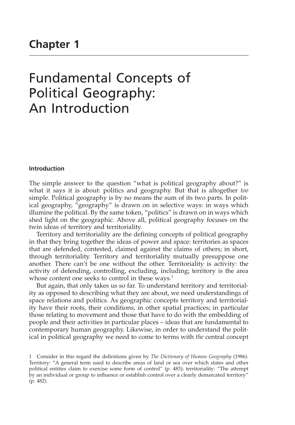## **Chapter 1**

# Fundamental Concepts of Political Geography: An Introduction

## **Introduction**

The simple answer to the question "what is political geography about?" is what it says it is about: politics and geography. But that is altogether *too* simple. Political geography is by no means the sum of its two parts. In political geography, "geography" is drawn on in selective ways: in ways which illumine the political. By the same token, "politics" is drawn on in ways which shed light on the geographic. Above all, political geography focuses on the twin ideas of territory and territoriality.

Territory and territoriality are the defining concepts of political geography in that they bring together the ideas of power and space: territories as spaces that are defended, contested, claimed against the claims of others; in short, through territoriality. Territory and territoriality mutually presuppose one another. There can't be one without the other. Territoriality is activity: the activity of defending, controlling, excluding, including; territory is the area whose content one seeks to control in these ways.<sup>1</sup>

But again, that only takes us so far. To understand territory and territoriality as opposed to describing what they are about, we need understandings of space relations and politics. As geographic concepts territory and territoriality have their roots, their conditions, in other spatial practices; in particular those relating to movement and those that have to do with the embedding of people and their activities in particular places – ideas that are fundamental to contemporary human geography. Likewise, in order to understand the political in political geography we need to come to terms with *the* central concept

<sup>1</sup> Consider in this regard the definitions given by *The Dictionary of Human Geography* (1986). Territory: "A general term used to describe areas of land or sea over which states and other political entities claim to exercise some form of control" (p. 483); territoriality: "The attempt by an individual or group to influence or establish control over a clearly demarcated territory" (p. 482).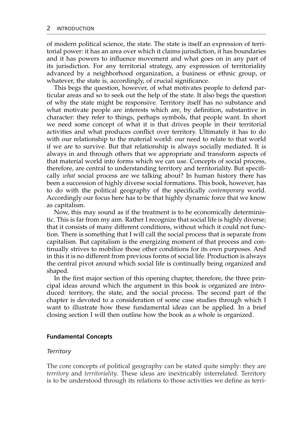of modern political science, the state. The state is itself an expression of territorial power: it has an area over which it claims jurisdiction, it has boundaries and it has powers to influence movement and what goes on in any part of its jurisdiction. For any territorial strategy, any expression of territoriality advanced by a neighborhood organization, a business or ethnic group, or whatever, the state is, accordingly, of crucial significance.

This begs the question, however, of what motivates people to defend particular areas and so to seek out the help of the state. It also begs the question of why the state might be responsive. Territory itself has no substance and what motivate people are interests which are, by definition, substantive in character: they refer to things, perhaps symbols, that people want. In short we need some concept of what it is that drives people in their territorial activities and what produces conflict over territory. Ultimately it has to do with our relationship to the material world: our need to relate to that world if we are to survive. But that relationship is always socially mediated. It is always in and through others that we appropriate and transform aspects of that material world into forms which we can use. Concepts of social process, therefore, are central to understanding territory and territoriality. But specifically *what* social process are we talking about? In human history there has been a succession of highly diverse social formations. This book, however, has to do with the political geography of the specifically *contemporary* world. Accordingly our focus here has to be that highly dynamic force that we know as capitalism.

Now, this may sound as if the treatment is to be economically deterministic. This is far from my aim. Rather I recognize that social life is highly diverse; that it consists of many different conditions, without which it could not function. There is something that I will call the social process that is separate from capitalism. But capitalism is the energizing moment of that process and continually strives to mobilize those other conditions for its own purposes. And in this it is no different from previous forms of social life. Production is always the central pivot around which social life is continually being organized and shaped.

In the first major section of this opening chapter, therefore, the three principal ideas around which the argument in this book is organized are introduced: territory, the state, and the social process. The second part of the chapter is devoted to a consideration of some case studies through which I want to illustrate how these fundamental ideas can be applied. In a brief closing section I will then outline how the book as a whole is organized.

## **Fundamental Concepts**

## *Territory*

The core concepts of political geography can be stated quite simply: they are *territory* and *territoriality*. These ideas are inextricably interrelated. Territory is to be understood through its relations to those activities we define as terri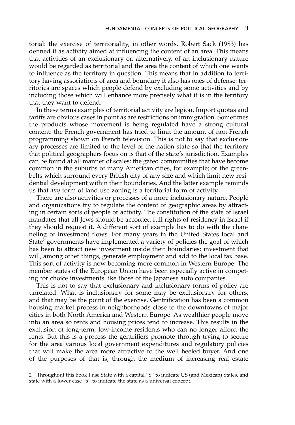torial: the exercise of territoriality, in other words. Robert Sack (1983) has defined it as activity aimed at influencing the content of an area. This means that activities of an exclusionary or, alternatively, of an inclusionary nature would be regarded as territorial and the area the content of which one wants to influence as the territory in question. This means that in addition to territory having associations of area and boundary it also has ones of defense: territories are spaces which people defend by excluding some activities and by including those which will enhance more precisely what it is in the territory that they want to defend.

In these terms examples of territorial activity are legion. Import quotas and tariffs are obvious cases in point as are restrictions on immigration. Sometimes the products whose movement is being regulated have a strong cultural content: the French government has tried to limit the amount of non-French programming shown on French television. This is not to say that exclusionary processes are limited to the level of the nation state so that the territory that political geographers focus on is that of the state's jurisdiction. Examples can be found at all manner of scales: the gated communities that have become common in the suburbs of many American cities, for example; or the greenbelts which surround every British city of any size and which limit new residential development within their boundaries. And the latter example reminds us that *any* form of land use zoning is a territorial form of activity.

There are also activities or processes of a more inclusionary nature. People and organizations try to regulate the content of geographic areas by attracting in certain sorts of people or activity. The constitution of the state of Israel mandates that all Jews should be accorded full rights of residency in Israel if they should request it. A different sort of example has to do with the channeling of investment flows. For many years in the United States local and State<sup>2</sup> governments have implemented a variety of policies the goal of which has been to attract new investment inside their boundaries: investment that will, among other things, generate employment and add to the local tax base. This sort of activity is now becoming more common in Western Europe. The member states of the European Union have been especially active in competing for choice investments like those of the Japanese auto companies.

This is not to say that exclusionary and inclusionary forms of policy are unrelated. What is inclusionary for some may be exclusionary for others, and that may be the point of the exercise. Gentrification has been a common housing market process in neighborhoods close to the downtowns of major cities in both North America and Western Europe. As wealthier people move into an area so rents and housing prices tend to increase. This results in the exclusion of long-term, low-income residents who can no longer afford the rents. But this is a process the gentrifiers promote through trying to secure for the area various local government expenditures and regulatory policies that will make the area more attractive to the well heeled buyer. And one of the purposes of that is, through the medium of increasing real estate

<sup>2</sup> Throughout this book I use State with a capital "S" to indicate US (and Mexican) States, and state with a lower case "s" to indicate the state as a universal concept.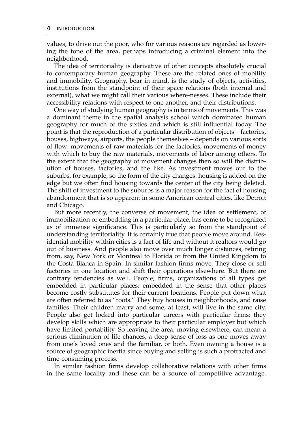values, to drive out the poor, who for various reasons are regarded as lowering the tone of the area, perhaps introducing a criminal element into the neighborhood.

The idea of territoriality is derivative of other concepts absolutely crucial to contemporary human geography. These are the related ones of mobility and immobility. Geography, bear in mind, is the study of objects, activities, institutions from the standpoint of their space relations (both internal and external), what we might call their various where-nesses. These include their accessibility relations with respect to one another, and their distributions.

One way of studying human geography is in terms of movements. This was a dominant theme in the spatial analysis school which dominated human geography for much of the sixties and which is still influential today. The point is that the reproduction of a particular distribution of objects – factories, houses, highways, airports, the people themselves – depends on various sorts of flow: movements of raw materials for the factories, movements of money with which to buy the raw materials, movements of labor among others. To the extent that the geography of movement changes then so will the distribution of houses, factories, and the like. As investment moves out to the suburbs, for example, so the form of the city changes: housing is added on the edge but we often find housing towards the center of the city being deleted. The shift of investment to the suburbs is a major reason for the fact of housing abandonment that is so apparent in some American central cities, like Detroit and Chicago.

But more recently, the converse of movement, the idea of settlement, of immobilization or embedding in a particular place, has come to be recognized as of immense significance. This is particularly so from the standpoint of understanding territoriality. It is certainly true that people move around. Residential mobility within cities is a fact of life and without it realtors would go out of business. And people also move over much longer distances, retiring from, say, New York or Montreal to Florida or from the United Kingdom to the Costa Blanca in Spain. In similar fashion firms move. They close or sell factories in one location and shift their operations elsewhere. But there are contrary tendencies as well. People, firms, organizations of all types get embedded in particular places: embedded in the sense that other places become costly substitutes for their current locations. People put down what are often referred to as "roots." They buy houses in neighborhoods, and raise families. Their children marry and some, at least, will live in the same city. People also get locked into particular careers with particular firms: they develop skills which are appropriate to their particular employer but which have limited portability. So leaving the area, moving elsewhere, can mean a serious diminution of life chances, a deep sense of loss as one moves away from one's loved ones and the familiar, or both. Even owning a house is a source of geographic inertia since buying and selling is such a protracted and time-consuming process.

In similar fashion firms develop collaborative relations with other firms in the same locality and these can be a source of competitive advantage.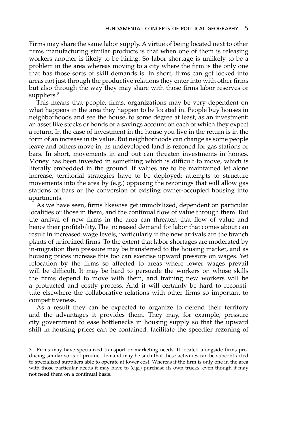Firms may share the same labor supply. A virtue of being located next to other firms manufacturing similar products is that when one of them is releasing workers another is likely to be hiring. So labor shortage is unlikely to be a problem in the area whereas moving to a city where the firm is the only one that has those sorts of skill demands is. In short, firms can get locked into areas not just through the productive relations they enter into with other firms but also through the way they may share with those firms labor reserves or suppliers.<sup>3</sup>

This means that people, firms, organizations may be very dependent on what happens in the area they happen to be located in. People buy houses in neighborhoods and see the house, to some degree at least, as an investment: an asset like stocks or bonds or a savings account on each of which they expect a return. In the case of investment in the house you live in the return is in the form of an increase in its value. But neighborhoods can change as some people leave and others move in, as undeveloped land is rezoned for gas stations or bars. In short, movements in and out can threaten investments in homes. Money has been invested in something which is difficult to move, which is literally embedded in the ground. If values are to be maintained let alone increase, territorial strategies have to be deployed: attempts to structure movements into the area by (e.g.) opposing the rezonings that will allow gas stations or bars or the conversion of existing owner-occupied housing into apartments.

As we have seen, firms likewise get immobilized, dependent on particular localities or those in them, and the continual flow of value through them. But the arrival of new firms in the area can threaten that flow of value and hence their profitability. The increased demand for labor that comes about can result in increased wage levels, particularly if the new arrivals are the branch plants of unionized firms. To the extent that labor shortages are moderated by in-migration then pressure may be transferred to the housing market, and as housing prices increase this too can exercise upward pressure on wages. Yet relocation by the firms so affected to areas where lower wages prevail will be difficult. It may be hard to persuade the workers on whose skills the firms depend to move with them, and training new workers will be a protracted and costly process. And it will certainly be hard to reconstitute elsewhere the collaborative relations with other firms so important to competitiveness.

As a result they can be expected to organize to defend their territory and the advantages it provides them. They may, for example, pressure city government to ease bottlenecks in housing supply so that the upward shift in housing prices can be contained: facilitate the speedier rezoning of

<sup>3</sup> Firms may have specialized transport or marketing needs. If located alongside firms producing similar sorts of product demand may be such that these activities can be subcontracted to specialized suppliers able to operate at lower cost. Whereas if the firm is only one in the area with those particular needs it may have to (e.g.) purchase its own trucks, even though it may not need them on a continual basis.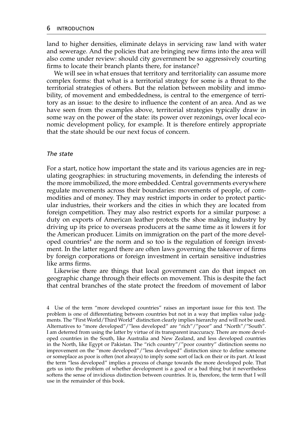land to higher densities, eliminate delays in servicing raw land with water and sewerage. And the policies that are bringing new firms into the area will also come under review: should city government be so aggressively courting firms to locate their branch plants there, for instance?

We will see in what ensues that territory and territoriality can assume more complex forms: that what is a territorial strategy for some is a threat to the territorial strategies of others. But the relation between mobility and immobility, of movement and embeddedness, is central to the emergence of territory as an issue: to the desire to influence the content of an area. And as we have seen from the examples above, territorial strategies typically draw in some way on the power of the state: its power over rezonings, over local economic development policy, for example. It is therefore entirely appropriate that the state should be our next focus of concern.

#### *The state*

For a start, notice how important the state and its various agencies are in regulating geographies: in structuring movements, in defending the interests of the more immobilized, the more embedded. Central governments everywhere regulate movements across their boundaries: movements of people, of commodities and of money. They may restrict imports in order to protect particular industries, their workers and the cities in which they are located from foreign competition. They may also restrict exports for a similar purpose: a duty on exports of American leather protects the shoe making industry by driving up its price to overseas producers at the same time as it lowers it for the American producer. Limits on immigration on the part of the more developed countries<sup>4</sup> are the norm and so too is the regulation of foreign investment. In the latter regard there are often laws governing the takeover of firms by foreign corporations or foreign investment in certain sensitive industries like arms firms.

Likewise there are things that local government can do that impact on geographic change through their effects on movement. This is despite the fact that central branches of the state protect the freedom of movement of labor

4 Use of the term "more developed countries" raises an important issue for this text. The problem is one of differentiating between countries but not in a way that implies value judgments. The "First World/Third World" distinction clearly implies hierarchy and will not be used. Alternatives to "more developed"/"less developed" are "rich"/"poor" and "North"/"South". I am deterred from using the latter by virtue of its transparent inaccuracy. There are more developed countries in the South, like Australia and New Zealand, and less developed countries in the North, like Egypt or Pakistan. The "rich country"/"poor country" distinction seems no improvement on the "more developed"/"less developed" distinction since to define someone or someplace as poor is often (not always) to imply some sort of lack on their or its part. At least the term "less developed" implies a process of change towards the more developed pole. That gets us into the problem of whether development is a good or a bad thing but it nevertheless softens the sense of invidious distinction between countries. It is, therefore, the term that I will use in the remainder of this book.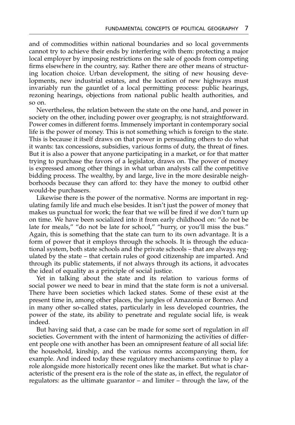and of commodities within national boundaries and so local governments cannot try to achieve their ends by interfering with them: protecting a major local employer by imposing restrictions on the sale of goods from competing firms elsewhere in the country, say. Rather there are other means of structuring location choice. Urban development, the siting of new housing developments, new industrial estates, and the location of new highways must invariably run the gauntlet of a local permitting process: public hearings, rezoning hearings, objections from national public health authorities, and so on.

Nevertheless, the relation between the state on the one hand, and power in society on the other, including power over geography, is not straightforward. Power comes in different forms. Immensely important in contemporary social life is the power of money. This is not something which is foreign to the state. This is because it itself draws on that power in persuading others to do what it wants: tax concessions, subsidies, various forms of duty, the threat of fines. But it is also a power that anyone participating in a market, or for that matter trying to purchase the favors of a legislator, draws on. The power of money is expressed among other things in what urban analysts call the competitive bidding process. The wealthy, by and large, live in the more desirable neighborhoods because they can afford to: they have the money to outbid other would-be purchasers.

Likewise there is the power of the normative. Norms are important in regulating family life and much else besides. It isn't just the power of money that makes us punctual for work; the fear that we will be fired if we don't turn up on time. We have been socialized into it from early childhood on: "do not be late for meals," "do not be late for school," "hurry, or you'll miss the bus." Again, this is something that the state can turn to its own advantage. It is a form of power that it employs through the schools. It is through the educational system, both state schools and the private schools – that are always regulated by the state – that certain rules of good citizenship are imparted. And through its public statements, if not always through its actions, it advocates the ideal of equality as a principle of social justice.

Yet in talking about the state and its relation to various forms of social power we need to bear in mind that the state form is not a universal. There have been societies which lacked states. Some of these exist at the present time in, among other places, the jungles of Amazonia or Borneo. And in many other so-called states, particularly in less developed countries, the power of the state, its ability to penetrate and regulate social life, is weak indeed.

But having said that, a case can be made for some sort of regulation in *all* societies. Government with the intent of harmonizing the activities of different people one with another has been an omnipresent feature of all social life: the household, kinship, and the various norms accompanying them, for example. And indeed today these regulatory mechanisms continue to play a role alongside more historically recent ones like the market. But what is characteristic of the present era is the role of the state as, in effect, the regulator of regulators: as the ultimate guarantor – and limiter – through the law, of the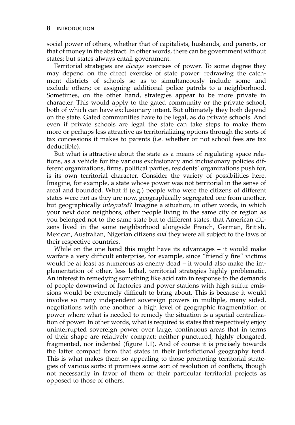social power of others, whether that of capitalists, husbands, and parents, or that of money in the abstract. In other words, there can be government without states; but states always entail government.

Territorial strategies are *always* exercises of power. To some degree they may depend on the direct exercise of state power: redrawing the catchment districts of schools so as to simultaneously include some and exclude others; or assigning additional police patrols to a neighborhood. Sometimes, on the other hand, strategies appear to be more private in character. This would apply to the gated community or the private school, both of which can have exclusionary intent. But ultimately they both depend on the state. Gated communities have to be legal, as do private schools. And even if private schools are legal the state can take steps to make them more or perhaps less attractive as territorializing options through the sorts of tax concessions it makes to parents (i.e. whether or not school fees are tax deductible).

But what is attractive about the state as a means of regulating space relations, as a vehicle for the various exclusionary and inclusionary policies different organizations, firms, political parties, residents' organizations push for, is its own territorial character. Consider the variety of possibilities here. Imagine, for example, a state whose power was not territorial in the sense of areal and bounded. What if (e.g.) people who were the citizens of different states were not as they are now, geographically segregated one from another, but geographically *integrated*? Imagine a situation, in other words, in which your next door neighbors, other people living in the same city or region as you belonged not to the same state but to different states: that American citizens lived in the same neighborhood alongside French, German, British, Mexican, Australian, Nigerian citizens *and* they were all subject to the laws of their respective countries.

While on the one hand this might have its advantages – it would make warfare a very difficult enterprise, for example, since "friendly fire" victims would be at least as numerous as enemy dead – it would also make the implementation of other, less lethal, territorial strategies highly problematic. An interest in remedying something like acid rain in response to the demands of people downwind of factories and power stations with high sulfur emissions would be extremely difficult to bring about. This is because it would involve so many independent sovereign powers in multiple, many sided, negotiations with one another: a high level of geographic fragmentation of power where what is needed to remedy the situation is a spatial centralization of power. In other words, what is required is states that respectively enjoy uninterrupted sovereign power over large, continuous areas that in terms of their shape are relatively compact: neither punctured, highly elongated, fragmented, nor indented (figure 1.1). And of course it is precisely towards the latter compact form that states in their jurisdictional geography tend. This is what makes them so appealing to those promoting territorial strategies of various sorts: it promises some sort of resolution of conflicts, though not necessarily in favor of them or their particular territorial projects as opposed to those of others.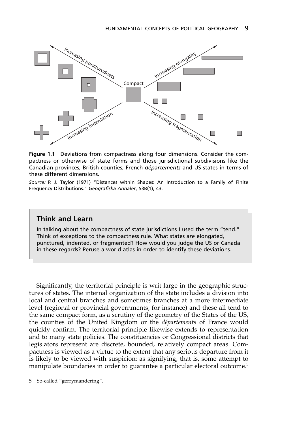

**Figure 1.1** Deviations from compactness along four dimensions. Consider the compactness or otherwise of state forms and those jurisdictional subdivisions like the Canadian provinces, British counties, French *départements* and US states in terms of these different dimensions.

*Source:* P. J. Taylor (1971) "Distances within Shapes: An Introduction to a Family of Finite Frequency Distributions." *Geografiska Annaler*, 53B(1), 43.

## **Think and Learn**

In talking about the compactness of state jurisdictions I used the term "tend." Think of exceptions to the compactness rule. What states *are* elongated, punctured, indented, or fragmented? How would you judge the US or Canada in these regards? Peruse a world atlas in order to identify these deviations.

Significantly, the territorial principle is writ large in the geographic structures of states. The internal organization of the state includes a division into local and central branches and sometimes branches at a more intermediate level (regional or provincial governments, for instance) and these all tend to the same compact form, as a scrutiny of the geometry of the States of the US, the counties of the United Kingdom or the *départements* of France would quickly confirm. The territorial principle likewise extends to representation and to many state policies. The constituencies or Congressional districts that legislators represent are discrete, bounded, relatively compact areas. Compactness is viewed as a virtue to the extent that any serious departure from it is likely to be viewed with suspicion: as signifying, that is, some attempt to manipulate boundaries in order to guarantee a particular electoral outcome.<sup>5</sup>

5 So-called "gerrymandering".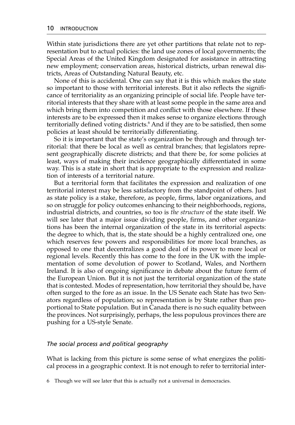Within state jurisdictions there are yet other partitions that relate not to representation but to actual policies: the land use zones of local governments; the Special Areas of the United Kingdom designated for assistance in attracting new employment; conservation areas, historical districts, urban renewal districts, Areas of Outstanding Natural Beauty, etc.

None of this is accidental. One can say that it is this which makes the state so important to those with territorial interests. But it also reflects the significance of territoriality as an organizing principle of social life. People have territorial interests that they share with at least some people in the same area and which bring them into competition and conflict with those elsewhere. If these interests are to be expressed then it makes sense to organize elections through territorially defined voting districts.<sup>6</sup> And if they are to be satisfied, then some policies at least should be territorially differentiating.

So it is important that the state's organization be through and through territorial: that there be local as well as central branches; that legislators represent geographically discrete districts; and that there be, for some policies at least, ways of making their incidence geographically differentiated in some way. This is a state in short that is appropriate to the expression and realization of interests of a territorial nature.

But a territorial form that facilitates the expression and realization of one territorial interest may be less satisfactory from the standpoint of others. Just as state policy is a stake, therefore, as people, firms, labor organizations, and so on struggle for policy outcomes enhancing to their neighborhoods, regions, industrial districts, and countries, so too is *the structure* of the state itself. We will see later that a major issue dividing people, firms, and other organizations has been the internal organization of the state in its territorial aspects: the degree to which, that is, the state should be a highly centralized one, one which reserves few powers and responsibilities for more local branches, as opposed to one that decentralizes a good deal of its power to more local or regional levels. Recently this has come to the fore in the UK with the implementation of some devolution of power to Scotland, Wales, and Northern Ireland. It is also of ongoing significance in debate about the future form of the European Union. But it is not just the territorial organization of the state that is contested. Modes of representation, how territorial they should be, have often surged to the fore as an issue. In the US Senate each State has two Senators regardless of population; so representation is by State rather than proportional to State population. But in Canada there is no such equality between the provinces. Not surprisingly, perhaps, the less populous provinces there are pushing for a US-style Senate.

## *The social process and political geography*

What is lacking from this picture is some sense of what energizes the political process in a geographic context. It is not enough to refer to territorial inter-

6 Though we will see later that this is actually not a universal in democracies.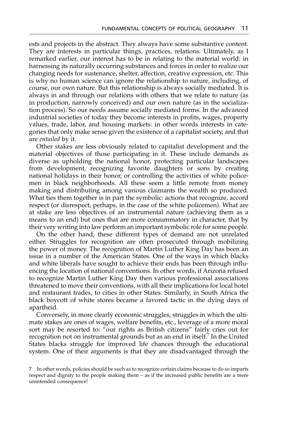ests and projects in the abstract. They always have some substantive content. They are interests in particular things, practices, relations. Ultimately, as I remarked earlier, our interest has to be in relating to the material world: in harnessing its naturally occurring substances and forces in order to realize our changing needs for sustenance, shelter, affection, creative expression, etc. This is why no human science can ignore the relationship to nature, including, of course, our own nature. But this relationship is always socially mediated. It is always in and through our relations with others that we relate to nature (as in production, narrowly conceived) and our own nature (as in the socialization process). So our needs assume socially mediated forms. In the advanced industrial societies of today they become interests in profits, wages, property values, trade, labor, and housing markets: in other words interests in categories that only make sense given the existence of a capitalist society, and that are *entailed* by it.

Other stakes are less obviously related to capitalist development and the material objectives of those participating in it. These include demands as diverse as upholding the national honor, protecting particular landscapes from development, recognizing favorite daughters or sons by creating national holidays in their honor, or controlling the activities of white policemen in black neighborhoods. All these seem a little remote from money making and distributing among various claimants the wealth so produced. What ties them together is in part the symbolic: actions that recognize, accord respect (or disrespect, perhaps, in the case of the white policemen). What are at stake are less objectives of an instrumental nature (achieving them as a means to an end) but ones that are more consummatory in character, that by their very writing into law perform an important symbolic role for some people.

On the other hand, these different types of demand are not unrelated either. Struggles for recognition are often prosecuted through mobilizing the power of money. The recognition of Martin Luther King Day has been an issue in a number of the American States. One of the ways in which blacks and white liberals have sought to achieve their ends has been through influencing the location of national conventions. In other words, if Arizona refused to recognize Martin Luther King Day then various professional associations threatened to move their conventions, with all their implications for local hotel and restaurant trades, to cities in other States. Similarly, in South Africa the black boycott of white stores became a favored tactic in the dying days of apartheid.

Conversely, in more clearly economic struggles, struggles in which the ultimate stakes are ones of wages, welfare benefits, etc., leverage of a more moral sort may be resorted to: "our rights as British citizens" fairly cries out for recognition not on instrumental grounds but as an end in itself. $\frac{7}{1}$  In the United States blacks struggle for improved life chances through the educational system. One of their arguments is that they are disadvantaged through the

<sup>7</sup> In other words, policies should be such as to recognize certain claims because to do so imparts respect and dignity to the people making them – as if the increased public benefits are a mere unintended consequence!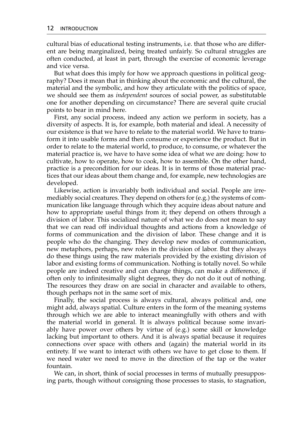cultural bias of educational testing instruments, i.e. that those who are different are being marginalized, being treated unfairly. So cultural struggles are often conducted, at least in part, through the exercise of economic leverage and vice versa.

But what does this imply for how we approach questions in political geography? Does it mean that in thinking about the economic and the cultural, the material and the symbolic, and how they articulate with the politics of space, we should see them as *independent* sources of social power, as substitutable one for another depending on circumstance? There are several quite crucial points to bear in mind here.

First, any social process, indeed any action we perform in society, has a diversity of aspects. It is, for example, both material and ideal. A necessity of our existence is that we have to relate to the material world. We have to transform it into usable forms and then consume or experience the product. But in order to relate to the material world, to produce, to consume, or whatever the material practice is, we have to have some idea of what we are doing: how to cultivate, how to operate, how to cook, how to assemble. On the other hand, practice is a precondition for our ideas. It is in terms of those material practices that our ideas about them change and, for example, new technologies are developed.

Likewise, action is invariably both individual and social. People are irremediably social creatures. They depend on others for (e.g.) the systems of communication like language through which they acquire ideas about nature and how to appropriate useful things from it; they depend on others through a division of labor. This socialized nature of what we do does not mean to say that we can read off individual thoughts and actions from a knowledge of forms of communication and the division of labor. These change and it is people who do the changing. They develop new modes of communication, new metaphors, perhaps, new roles in the division of labor. But they always do these things using the raw materials provided by the existing division of labor and existing forms of communication. Nothing is totally novel. So while people are indeed creative and can change things, can make a difference, if often only to infinitesimally slight degrees, they do not do it out of nothing. The resources they draw on are social in character and available to others, though perhaps not in the same sort of mix.

Finally, the social process is always cultural, always political and, one might add, always spatial. Culture enters in the form of the meaning systems through which we are able to interact meaningfully with others and with the material world in general. It is always political because some invariably have power over others by virtue of (e.g.) some skill or knowledge lacking but important to others. And it is always spatial because it requires connections over space with others and (again) the material world in its entirety. If we want to interact with others we have to get close to them. If we need water we need to move in the direction of the tap or the water fountain.

We can, in short, think of social processes in terms of mutually presupposing parts, though without consigning those processes to stasis, to stagnation,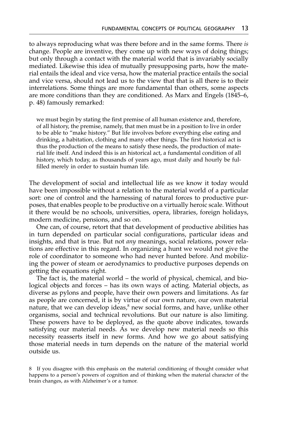to always reproducing what was there before and in the same forms. There *is* change. People are inventive, they come up with new ways of doing things; but only through a contact with the material world that is invariably socially mediated. Likewise this idea of mutually presupposing parts, how the material entails the ideal and vice versa, how the material practice entails the social and vice versa, should not lead us to the view that that is all there is to their interrelations. Some things are more fundamental than others, some aspects are more conditions than they are conditioned. As Marx and Engels (1845–6, p. 48) famously remarked:

we must begin by stating the first premise of all human existence and, therefore, of all history, the premise, namely, that men must be in a position to live in order to be able to "make history." But life involves before everything else eating and drinking, a habitation, clothing and many other things. The first historical act is thus the production of the means to satisfy these needs, the production of material life itself. And indeed this is an historical act, a fundamental condition of all history, which today, as thousands of years ago, must daily and hourly be fulfilled merely in order to sustain human life.

The development of social and intellectual life as we know it today would have been impossible without a relation to the material world of a particular sort: one of control and the harnessing of natural forces to productive purposes, that enables people to be productive on a virtually heroic scale. Without it there would be no schools, universities, opera, libraries, foreign holidays, modern medicine, pensions, and so on.

One can, of course, retort that that development of productive abilities has in turn depended on particular social configurations, particular ideas and insights, and that is true. But not *any* meanings, social relations, power relations are effective in this regard. In organizing a hunt we would not give the role of coordinator to someone who had never hunted before. And mobilizing the power of steam or aerodynamics to productive purposes depends on getting the equations right.

The fact is, the material world – the world of physical, chemical, and biological objects and forces – has its own ways of acting. Material objects, as diverse as pylons and people, have their own powers and limitations. As far as people are concerned, it is by virtue of our own nature, our own material nature, that we can develop ideas, $\delta$  new social forms, and have, unlike other organisms, social and technical revolutions. But our nature is also limiting. These powers have to be deployed, as the quote above indicates, towards satisfying our material needs. As we develop new material needs so this necessity reasserts itself in new forms. And how we go about satisfying those material needs in turn depends on the nature of the material world outside us.

<sup>8</sup> If you disagree with this emphasis on the material conditioning of thought consider what happens to a person's powers of cognition and of thinking when the material character of the brain changes, as with Alzheimer's or a tumor.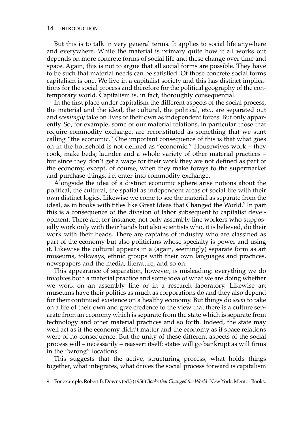But this is to talk in very general terms. It applies to social life anywhere and everywhere. While the material is primary quite how it all works out depends on more concrete forms of social life and these change over time and space. Again, this is not to argue that all social forms are possible. They have to be such that material needs can be satisfied. Of those concrete social forms capitalism is one. We live in a capitalist society and this has distinct implications for the social process and therefore for the political geography of the contemporary world. Capitalism is, in fact, thoroughly consequential.

In the first place under capitalism the different aspects of the social process, the material and the ideal, the cultural, the political, etc., are separated out and *seemingly* take on lives of their own as independent forces. But only apparently. So, for example, some of our material relations, in particular those that require commodity exchange, are reconstituted as something that we start calling "the economic." One important consequence of this is that what goes on in the household is not defined as "economic." Housewives work – they cook, make beds, launder and a whole variety of other material practices – but since they don't get a wage for their work they are not defined as part of the economy, except, of course, when they make forays to the supermarket and purchase things, i.e. enter into commodity exchange.

Alongside the idea of a distinct economic sphere arise notions about the political, the cultural, the spatial as independent areas of social life with their own distinct logics. Likewise we come to see the material as separate from the ideal, as in books with titles like Great Ideas that Changed the World.<sup>9</sup> In part this is a consequence of the division of labor subsequent to capitalist development. There are, for instance, not only assembly line workers who supposedly work only with their hands but also scientists who, it is believed, do their work with their heads. There are captains of industry who are classified as part of the economy but also politicians whose specialty is power and using it. Likewise the cultural appears in a (again, seemingly) separate form as art museums, folkways, ethnic groups with their own languages and practices, newspapers and the media, literature, and so on.

This appearance of separation, however, is misleading: everything we do involves both a material practice and some idea of what we are doing whether we work on an assembly line or in a research laboratory. Likewise art museums have their politics as much as corporations do and they also depend for their continued existence on a healthy economy. But things do *seem* to take on a life of their own and give credence to the view that there is a culture separate from an economy which is separate from the state which is separate from technology and other material practices and so forth. Indeed, the state may well act as if the economy didn't matter and the economy as if space relations were of no consequence. But the unity of these different aspects of the social process will – necessarily – reassert itself: states will go bankrupt as will firms in the "wrong" locations.

This suggests that the active, structuring process, what holds things together, what integrates, what drives the social process forward is capitalism

9 For example, Robert B. Downs (ed.) (1956) *Books that Changed the World*. New York: Mentor Books.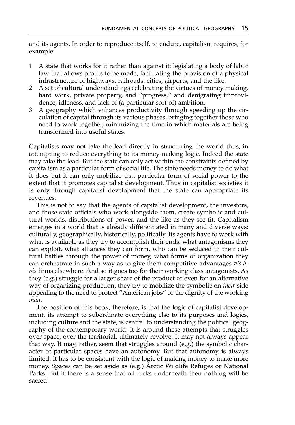and its agents. In order to reproduce itself, to endure, capitalism requires, for example:

- 1 A state that works for it rather than against it: legislating a body of labor law that allows profits to be made, facilitating the provision of a physical infrastructure of highways, railroads, cities, airports, and the like.
- 2 A set of cultural understandings celebrating the virtues of money making, hard work, private property, and "progress," and denigrating improvidence, idleness, and lack of (a particular sort of) ambition.
- 3 A geography which enhances productivity through speeding up the circulation of capital through its various phases, bringing together those who need to work together, minimizing the time in which materials are being transformed into useful states.

Capitalists may not take the lead directly in structuring the world thus, in attempting to reduce everything to its money-making logic. Indeed the state may take the lead. But the state can only act within the constraints defined by capitalism as a particular form of social life. The state needs money to do what it does but it can only mobilize that particular form of social power to the extent that it promotes capitalist development. Thus in capitalist societies it is only through capitalist development that the state can appropriate its revenues.

This is not to say that the agents of capitalist development, the investors, and those state officials who work alongside them, create symbolic and cultural worlds, distributions of power, and the like as they see fit. Capitalism emerges in a world that is already differentiated in many and diverse ways: culturally, geographically, historically, politically. Its agents have to work with what is available as they try to accomplish their ends: what antagonisms they can exploit, what alliances they can form, who can be seduced in their cultural battles through the power of money, what forms of organization they can orchestrate in such a way as to give them competitive advantages *vis-àvis* firms elsewhere. And so it goes too for their working class antagonists. As they (e.g.) struggle for a larger share of the product or even for an alternative way of organizing production, they try to mobilize the symbolic on *their* side appealing to the need to protect "American jobs" or the dignity of the working *man*.

The position of this book, therefore, is that the logic of capitalist development, its attempt to subordinate everything else to its purposes and logics, including culture and the state, is central to understanding the political geography of the contemporary world. It is around these attempts that struggles over space, over the territorial, ultimately revolve. It may not always appear that way. It may, rather, seem that struggles around (e.g.) the symbolic character of particular spaces have an autonomy. But that autonomy is always limited. It has to be consistent with the logic of making money to make more money. Spaces can be set aside as (e.g.) Arctic Wildlife Refuges or National Parks. But if there is a sense that oil lurks underneath then nothing will be sacred.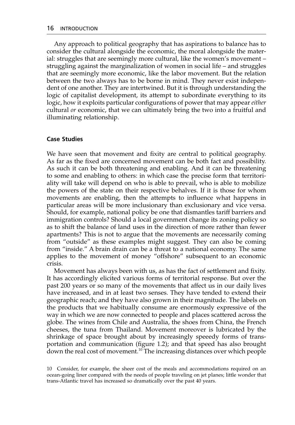Any approach to political geography that has aspirations to balance has to consider the cultural alongside the economic, the moral alongside the material: struggles that are seemingly more cultural, like the women's movement – struggling against the marginalization of women in social life – and struggles that are seemingly more economic, like the labor movement. But the relation between the two always has to be borne in mind. They never exist independent of one another. They are intertwined. But it is through understanding the logic of capitalist development, its attempt to subordinate everything to its logic, how it exploits particular configurations of power that may appear *either* cultural *or* economic, that we can ultimately bring the two into a fruitful and illuminating relationship.

## **Case Studies**

We have seen that movement and fixity are central to political geography. As far as the fixed are concerned movement can be both fact and possibility. As such it can be both threatening and enabling. And it can be threatening to some and enabling to others: in which case the precise form that territoriality will take will depend on who is able to prevail, who is able to mobilize the powers of the state on their respective behalves. If it is those for whom movements are enabling, then the attempts to influence what happens in particular areas will be more inclusionary than exclusionary and vice versa. Should, for example, national policy be one that dismantles tariff barriers and immigration controls? Should a local government change its zoning policy so as to shift the balance of land uses in the direction of more rather than fewer apartments? This is not to argue that the movements are necessarily coming from "outside" as these examples might suggest. They can also be coming from "inside." A brain drain can be a threat to a national economy. The same applies to the movement of money "offshore" subsequent to an economic crisis.

Movement has always been with us, as has the fact of settlement and fixity. It has accordingly elicited various forms of territorial response. But over the past 200 years or so many of the movements that affect us in our daily lives have increased, and in at least two senses. They have tended to extend their geographic reach; and they have also grown in their magnitude. The labels on the products that we habitually consume are enormously expressive of the way in which we are now connected to people and places scattered across the globe. The wines from Chile and Australia, the shoes from China, the French cheeses, the tuna from Thailand. Movement moreover is lubricated by the shrinkage of space brought about by increasingly speeedy forms of transportation and communication (figure 1.2); and that speed has also brought down the real cost of movement.10 The increasing distances over which people

<sup>10</sup> Consider, for example, the sheer cost of the meals and accommodations required on an ocean-going liner compared with the needs of people traveling on jet planes; little wonder that trans-Atlantic travel has increased so dramatically over the past 40 years.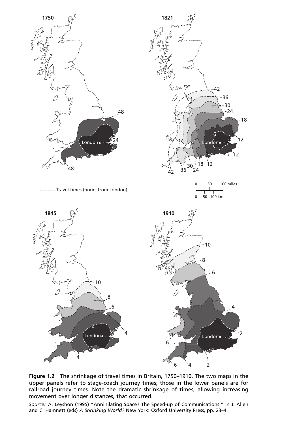

**Figure 1.2** The shrinkage of travel times in Britain, 1750–1910. The two maps in the upper panels refer to stage-coach journey times; those in the lower panels are for railroad journey times. Note the dramatic shrinkage of times, allowing increasing movement over longer distances, that occurred.

*Source:* A. Leyshon (1995) "Annihilating Space? The Speed-up of Communications." In J. Allen and C. Hamnett (eds) *A Shrinking World?* New York: Oxford University Press, pp. 23–4.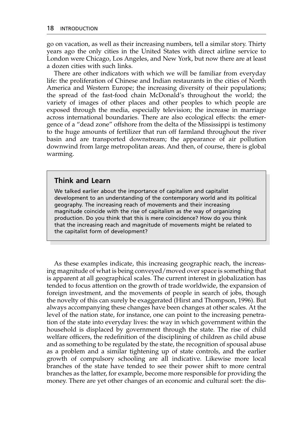go on vacation, as well as their increasing numbers, tell a similar story. Thirty years ago the only cities in the United States with direct airline service to London were Chicago, Los Angeles, and New York, but now there are at least a dozen cities with such links.

There are other indicators with which we will be familiar from everyday life: the proliferation of Chinese and Indian restaurants in the cities of North America and Western Europe; the increasing diversity of their populations; the spread of the fast-food chain McDonald's throughout the world; the variety of images of other places and other peoples to which people are exposed through the media, especially television; the increase in marriage across international boundaries. There are also ecological effects: the emergence of a "dead zone" offshore from the delta of the Mississippi is testimony to the huge amounts of fertilizer that run off farmland throughout the river basin and are transported downstream; the appearance of air pollution downwind from large metropolitan areas. And then, of course, there is global warming.

## **Think and Learn**

We talked earlier about the importance of capitalism and capitalist development to an understanding of the contemporary world and its political geography. The increasing reach of movements and their increasing magnitude coincide with the rise of capitalism as *the* way of organizing production. Do you think that this is mere coincidence? How do you think that the increasing reach and magnitude of movements might be related to the capitalist form of development?

As these examples indicate, this increasing geographic reach, the increasing magnitude of what is being conveyed/moved over space is something that is apparent at all geographical scales. The current interest in globalization has tended to focus attention on the growth of trade worldwide, the expansion of foreign investment, and the movements of people in search of jobs, though the novelty of this can surely be exaggerated (Hirst and Thompson, 1996). But always accompanying these changes have been changes at other scales. At the level of the nation state, for instance, one can point to the increasing penetration of the state into everyday lives: the way in which government within the household is displaced by government through the state. The rise of child welfare officers, the redefinition of the disciplining of children as child abuse and as something to be regulated by the state, the recognition of spousal abuse as a problem and a similar tightening up of state controls, and the earlier growth of compulsory schooling are all indicative. Likewise more local branches of the state have tended to see their power shift to more central branches as the latter, for example, become more responsible for providing the money. There are yet other changes of an economic and cultural sort: the dis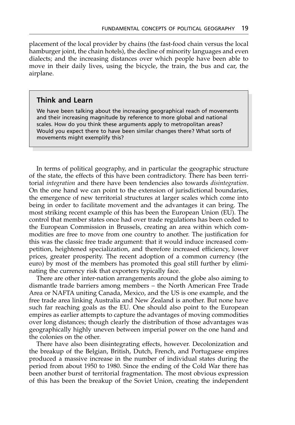placement of the local provider by chains (the fast-food chain versus the local hamburger joint, the chain hotels), the decline of minority languages and even dialects; and the increasing distances over which people have been able to move in their daily lives, using the bicycle, the train, the bus and car, the airplane.

## **Think and Learn**

We have been talking about the increasing geographical reach of movements and their increasing magnitude by reference to more global and national scales. How do you think these arguments apply to metropolitan areas? Would you expect there to have been similar changes there? What sorts of movements might exemplify this?

In terms of political geography, and in particular the geographic structure of the state, the effects of this have been contradictory. There has been territorial *integration* and there have been tendencies also towards *disintegration*. On the one hand we can point to the extension of jurisdictional boundaries, the emergence of new territorial structures at larger scales which come into being in order to facilitate movement and the advantages it can bring. The most striking recent example of this has been the European Union (EU). The control that member states once had over trade regulations has been ceded to the European Commission in Brussels, creating an area within which commodities are free to move from one country to another. The justification for this was the classic free trade argument: that it would induce increased competition, heightened specialization, and therefore increased efficiency, lower prices, greater prosperity. The recent adoption of a common currency (the euro) by most of the members has promoted this goal still further by eliminating the currency risk that exporters typically face.

There are other inter-nation arrangements around the globe also aiming to dismantle trade barriers among members – the North American Free Trade Area or NAFTA uniting Canada, Mexico, and the US is one example, and the free trade area linking Australia and New Zealand is another. But none have such far reaching goals as the EU. One should also point to the European empires as earlier attempts to capture the advantages of moving commodities over long distances; though clearly the distribution of those advantages was geographically highly uneven between imperial power on the one hand and the colonies on the other.

There have also been disintegrating effects, however. Decolonization and the breakup of the Belgian, British, Dutch, French, and Portuguese empires produced a massive increase in the number of individual states during the period from about 1950 to 1980. Since the ending of the Cold War there has been another burst of territorial fragmentation. The most obvious expression of this has been the breakup of the Soviet Union, creating the independent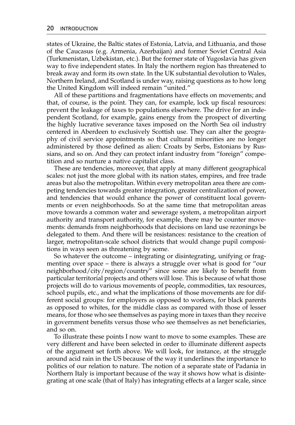states of Ukraine, the Baltic states of Estonia, Latvia, and Lithuania, and those of the Caucasus (e.g. Armenia, Azerbaijan) and former Soviet Central Asia (Turkmenistan, Uzbekistan, etc.). But the former state of Yugoslavia has given way to five independent states. In Italy the northern region has threatened to break away and form its own state. In the UK substantial devolution to Wales, Northern Ireland, and Scotland is under way, raising questions as to how long the United Kingdom will indeed remain "united."

All of these partitions and fragmentations have effects on movements; and that, of course, is the point. They can, for example, lock up fiscal resources: prevent the leakage of taxes to populations elsewhere. The drive for an independent Scotland, for example, gains energy from the prospect of diverting the highly lucrative severance taxes imposed on the North Sea oil industry centered in Aberdeen to exclusively Scottish use. They can alter the geography of civil service appointments so that cultural minorities are no longer administered by those defined as alien: Croats by Serbs, Estonians by Russians, and so on. And they can protect infant industry from "foreign" competition and so nurture a native capitalist class.

These are tendencies, moreover, that apply at many different geographical scales: not just the more global with its nation states, empires, and free trade areas but also the metropolitan. Within every metropolitan area there are competing tendencies towards greater integration, greater centralization of power, and tendencies that would enhance the power of constituent local governments or even neighborhoods. So at the same time that metropolitan areas move towards a common water and sewerage system, a metropolitan airport authority and transport authority, for example, there may be counter movements: demands from neighborhoods that decisions on land use rezonings be delegated to them. And there will be resistances: resistance to the creation of larger, metropolitan-scale school districts that would change pupil compositions in ways seen as threatening by some.

So whatever the outcome – integrating or disintegrating, unifying or fragmenting over space – there is always a struggle over what is good for "our neighborhood/city/region/country" since some are likely to benefit from particular territorial projects and others will lose. This is because of what those projects will do to various movements of people, commodities, tax resources, school pupils, etc., and what the implications of those movements are for different social groups: for employers as opposed to workers, for black parents as opposed to whites, for the middle class as compared with those of lesser means, for those who see themselves as paying more in taxes than they receive in government benefits versus those who see themselves as net beneficiaries, and so on.

To illustrate these points I now want to move to some examples. These are very different and have been selected in order to illuminate different aspects of the argument set forth above. We will look, for instance, at the struggle around acid rain in the US because of the way it underlines the importance to politics of our relation to nature. The notion of a separate state of Padania in Northern Italy is important because of the way it shows how what is disintegrating at one scale (that of Italy) has integrating effects at a larger scale, since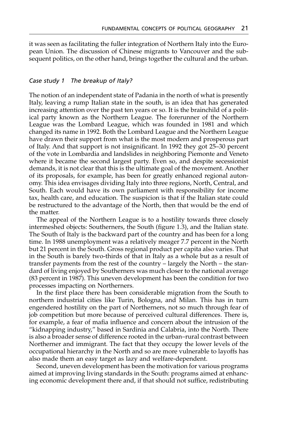it was seen as facilitating the fuller integration of Northern Italy into the European Union. The discussion of Chinese migrants to Vancouver and the subsequent politics, on the other hand, brings together the cultural and the urban.

## *Case study 1 The breakup of Italy?*

The notion of an independent state of Padania in the north of what is presently Italy, leaving a rump Italian state in the south, is an idea that has generated increasing attention over the past ten years or so. It is the brainchild of a political party known as the Northern League. The forerunner of the Northern League was the Lombard League, which was founded in 1981 and which changed its name in 1992. Both the Lombard League and the Northern League have drawn their support from what is the most modern and prosperous part of Italy. And that support is not insignificant. In 1992 they got 25–30 percent of the vote in Lombardia and landslides in neighboring Piemonte and Veneto where it became the second largest party. Even so, and despite secessionist demands, it is not clear that this is the ultimate goal of the movement. Another of its proposals, for example, has been for greatly enhanced regional autonomy. This idea envisages dividing Italy into three regions, North, Central, and South. Each would have its own parliament with responsibility for income tax, health care, and education. The suspicion is that if the Italian state could be restructured to the advantage of the North, then that would be the end of the matter.

The appeal of the Northern League is to a hostility towards three closely intermeshed objects: Southerners, the South (figure 1.3), and the Italian state. The South of Italy is the backward part of the country and has been for a long time. In 1988 unemployment was a relatively meager 7.7 percent in the North but 21 percent in the South. Gross regional product per capita also varies. That in the South is barely two-thirds of that in Italy as a whole but as a result of transfer payments from the rest of the country – largely the North – the standard of living enjoyed by Southerners was much closer to the national average (83 percent in 1987). This uneven development has been the condition for two processes impacting on Northerners.

In the first place there has been considerable migration from the South to northern industrial cities like Turin, Bologna, and Milan. This has in turn engendered hostility on the part of Northerners, not so much through fear of job competition but more because of perceived cultural differences. There is, for example, a fear of mafia influence and concern about the intrusion of the "kidnapping industry," based in Sardinia and Calabria, into the North. There is also a broader sense of difference rooted in the urban–rural contrast between Northerner and immigrant. The fact that they occupy the lower levels of the occupational hierarchy in the North and so are more vulnerable to layoffs has also made them an easy target as lazy and welfare-dependent.

Second, uneven development has been the motivation for various programs aimed at improving living standards in the South: programs aimed at enhancing economic development there and, if that should not suffice, redistributing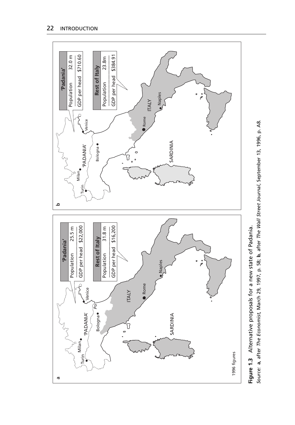

Source: a, after The Economist, March 29, 1997, p. 58; b, after The Wall Street Journal, September 13, 1996, p. A8. *Source:* **a**, after *The Economist*, March 29, 1997, p. 58; **b**, after *The Wall Street Journal*, September 13, 1996, p. A8.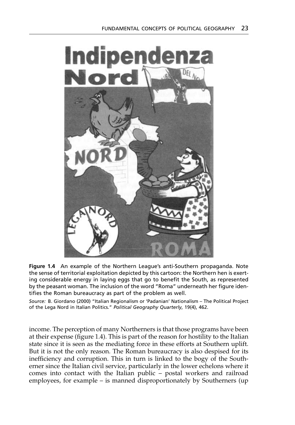

**Figure 1.4** An example of the Northern League's anti-Southern propaganda. Note the sense of territorial exploitation depicted by this cartoon: the Northern hen is exerting considerable energy in laying eggs that go to benefit the South, as represented by the peasant woman. The inclusion of the word "Roma" underneath her figure identifies the Roman bureaucracy as part of the problem as well.

*Source:* B. Giordano (2000) "Italian Regionalism or 'Padanian' Nationalism – The Political Project of the Lega Nord in Italian Politics." *Political Geography Quarterly*, 19(4), 462.

income. The perception of many Northerners is that those programs have been at their expense (figure 1.4). This is part of the reason for hostility to the Italian state since it is seen as the mediating force in these efforts at Southern uplift. But it is not the only reason. The Roman bureaucracy is also despised for its inefficiency and corruption. This in turn is linked to the bogy of the Southerner since the Italian civil service, particularly in the lower echelons where it comes into contact with the Italian public – postal workers and railroad employees, for example – is manned disproportionately by Southerners (up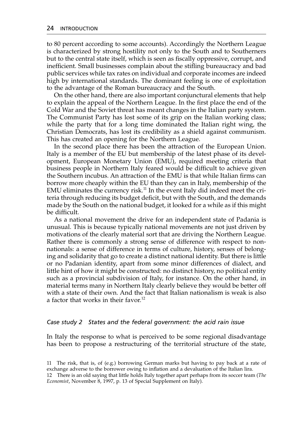to 80 percent according to some accounts). Accordingly the Northern League is characterized by strong hostility not only to the South and to Southerners but to the central state itself, which is seen as fiscally oppressive, corrupt, and inefficient. Small businesses complain about the stifling bureaucracy and bad public services while tax rates on individual and corporate incomes are indeed high by international standards. The dominant feeling is one of exploitation to the advantage of the Roman bureaucracy and the South.

On the other hand, there are also important conjunctural elements that help to explain the appeal of the Northern League. In the first place the end of the Cold War and the Soviet threat has meant changes in the Italian party system. The Communist Party has lost some of its grip on the Italian working class; while the party that for a long time dominated the Italian right wing, the Christian Democrats, has lost its credibility as a shield against communism. This has created an opening for the Northern League.

In the second place there has been the attraction of the European Union. Italy is a member of the EU but membership of the latest phase of its development, European Monetary Union (EMU), required meeting criteria that business people in Northern Italy feared would be difficult to achieve given the Southern incubus. An attraction of the EMU is that while Italian firms can borrow more cheaply within the EU than they can in Italy, membership of the EMU eliminates the currency risk.<sup>11</sup> In the event Italy did indeed meet the criteria through reducing its budget deficit, but with the South, and the demands made by the South on the national budget, it looked for a while as if this might be difficult.

As a national movement the drive for an independent state of Padania is unusual. This is because typically national movements are not just driven by motivations of the clearly material sort that are driving the Northern League. Rather there is commonly a strong sense of difference with respect to nonnationals: a sense of difference in terms of culture, history, senses of belonging and solidarity that go to create a distinct national identity. But there is little or no Padanian identity, apart from some minor differences of dialect, and little hint of how it might be constructed: no distinct history, no political entity such as a provincial subdivision of Italy, for instance. On the other hand, in material terms many in Northern Italy clearly believe they would be better off with a state of their own. And the fact that Italian nationalism is weak is also a factor that works in their favor.<sup>12</sup>

## *Case study 2 States and the federal government: the acid rain issue*

In Italy the response to what is perceived to be some regional disadvantage has been to propose a restructuring of the territorial structure of the state,

<sup>11</sup> The risk, that is, of (e.g.) borrowing German marks but having to pay back at a rate of exchange adverse to the borrower owing to inflation and a devaluation of the Italian lira.

<sup>12</sup> There is an old saying that little holds Italy together apart perhaps from its soccer team (*The Economist*, November 8, 1997, p. 13 of Special Supplement on Italy).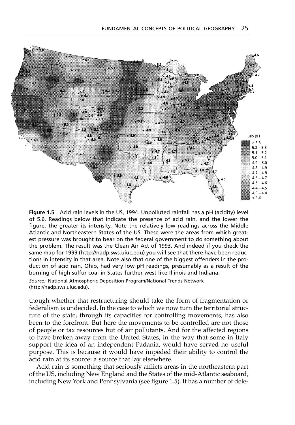

**Figure 1.5** Acid rain levels in the US, 1994. Unpolluted rainfall has a pH (acidity) level of 5.6. Readings below that indicate the presence of acid rain, and the lower the figure, the greater its intensity. Note the relatively low readings across the Middle Atlantic and Northeastern States of the US. These were the areas from which greatest pressure was brought to bear on the federal government to do something about the problem. The result was the Clean Air Act of 1993. And indeed if you check the same map for 1999 (http://nadp.sws.uiuc.edu) you will see that there have been reductions in intensity in that area. Note also that one of the biggest offenders in the production of acid rain, Ohio, had very low pH readings, presumably as a result of the burning of high sulfur coal in States further west like Illinois and Indiana. *Source:* National Atmospheric Deposition Program/National Trends Network (http://nadp.sws.uiuc.edu).

though whether that restructuring should take the form of fragmentation or federalism is undecided. In the case to which we now turn the territorial structure of the state, through its capacities for controlling movements, has also been to the forefront. But here the movements to be controlled are not those of people or tax resources but of air pollutants. And for the affected regions to have broken away from the United States, in the way that some in Italy support the idea of an independent Padania, would have served no useful purpose. This is because it would have impeded their ability to control the acid rain at its source: a source that lay elsewhere.

Acid rain is something that seriously afflicts areas in the northeastern part of the US, including New England and the States of the mid-Atlantic seaboard, including New York and Pennsylvania (see figure 1.5). It has a number of dele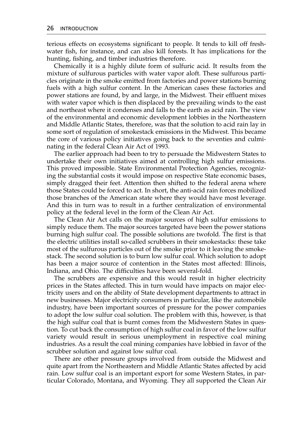terious effects on ecosystems significant to people. It tends to kill off freshwater fish, for instance, and can also kill forests. It has implications for the hunting, fishing, and timber industries therefore.

Chemically it is a highly dilute form of sulfuric acid. It results from the mixture of sulfurous particles with water vapor aloft. These sulfurous particles originate in the smoke emitted from factories and power stations burning fuels with a high sulfur content. In the American cases these factories and power stations are found, by and large, in the Midwest. Their effluent mixes with water vapor which is then displaced by the prevailing winds to the east and northeast where it condenses and falls to the earth as acid rain. The view of the environmental and economic development lobbies in the Northeastern and Middle Atlantic States, therefore, was that the solution to acid rain lay in some sort of regulation of smokestack emissions in the Midwest. This became the core of various policy initiatives going back to the seventies and culminating in the federal Clean Air Act of 1993.

The earlier approach had been to try to persuade the Midwestern States to undertake their own initiatives aimed at controlling high sulfur emissions. This proved impossible. State Environmental Protection Agencies, recognizing the substantial costs it would impose on respective State economic bases, simply dragged their feet. Attention then shifted to the federal arena where those States could be forced to act. In short, the anti-acid rain forces mobilized those branches of the American state where they would have most leverage. And this in turn was to result in a further centralization of environmental policy at the federal level in the form of the Clean Air Act.

The Clean Air Act calls on the major sources of high sulfur emissions to simply reduce them. The major sources targeted have been the power stations burning high sulfur coal. The possible solutions are twofold. The first is that the electric utilities install so-called scrubbers in their smokestacks: these take most of the sulfurous particles out of the smoke prior to it leaving the smokestack. The second solution is to burn low sulfur coal. Which solution to adopt has been a major source of contention in the States most affected: Illinois, Indiana, and Ohio. The difficulties have been several-fold.

The scrubbers are expensive and this would result in higher electricity prices in the States affected. This in turn would have impacts on major electricity users and on the ability of State development departments to attract in new businesses. Major electricity consumers in particular, like the automobile industry, have been important sources of pressure for the power companies to adopt the low sulfur coal solution. The problem with this, however, is that the high sulfur coal that is burnt comes from the Midwestern States in question. To cut back the consumption of high sulfur coal in favor of the low sulfur variety would result in serious unemployment in respective coal mining industries. As a result the coal mining companies have lobbied in favor of the scrubber solution and against low sulfur coal.

There are other pressure groups involved from outside the Midwest and quite apart from the Northeastern and Middle Atlantic States affected by acid rain. Low sulfur coal is an important export for some Western States, in particular Colorado, Montana, and Wyoming. They all supported the Clean Air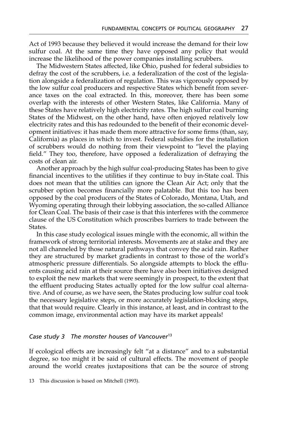Act of 1993 because they believed it would increase the demand for their low sulfur coal. At the same time they have opposed any policy that would increase the likelihood of the power companies installing scrubbers.

The Midwestern States affected, like Ohio, pushed for federal subsidies to defray the cost of the scrubbers, i.e. a federalization of the cost of the legislation alongside a federalization of regulation. This was vigorously opposed by the low sulfur coal producers and respective States which benefit from severance taxes on the coal extracted. In this, moreover, there has been some overlap with the interests of other Western States, like California. Many of these States have relatively high electricity rates. The high sulfur coal burning States of the Midwest, on the other hand, have often enjoyed relatively low electricity rates and this has redounded to the benefit of their economic development initiatives: it has made them more attractive for some firms (than, say, California) as places in which to invest. Federal subsidies for the installation of scrubbers would do nothing from their viewpoint to "level the playing field." They too, therefore, have opposed a federalization of defraying the costs of clean air.

Another approach by the high sulfur coal-producing States has been to give financial incentives to the utilities if they continue to buy in-State coal. This does not mean that the utilities can ignore the Clean Air Act; only that the scrubber option becomes financially more palatable. But this too has been opposed by the coal producers of the States of Colorado, Montana, Utah, and Wyoming operating through their lobbying association, the so-called Alliance for Clean Coal. The basis of their case is that this interferes with the commerce clause of the US Constitution which proscribes barriers to trade between the States.

In this case study ecological issues mingle with the economic, all within the framework of strong territorial interests. Movements are at stake and they are not all channeled by those natural pathways that convey the acid rain. Rather they are structured by market gradients in contrast to those of the world's atmospheric pressure differentials. So alongside attempts to block the effluents causing acid rain at their source there have also been initiatives designed to exploit the new markets that were seemingly in prospect, to the extent that the effluent producing States actually opted for the low sulfur coal alternative. And of course, as we have seen, the States producing low sulfur coal took the necessary legislative steps, or more accurately legislation-blocking steps, that that would require. Clearly in this instance, at least, and in contrast to the common image, environmental action may have its market appeals!

## *Case study 3 The monster houses of Vancouver*<sup>13</sup>

If ecological effects are increasingly felt "at a distance" and to a substantial degree, so too might it be said of cultural effects. The movement of people around the world creates juxtapositions that can be the source of strong

<sup>13</sup> This discussion is based on Mitchell (1993).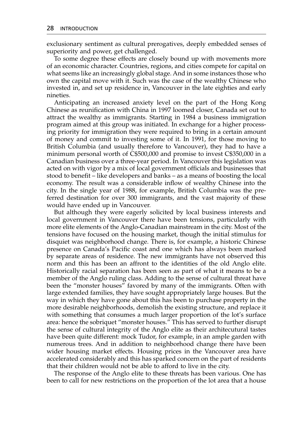exclusionary sentiment as cultural prerogatives, deeply embedded senses of superiority and power, get challenged.

To some degree these effects are closely bound up with movements more of an economic character. Countries, regions, and cities compete for capital on what seems like an increasingly global stage. And in some instances those who own the capital move with it. Such was the case of the wealthy Chinese who invested in, and set up residence in, Vancouver in the late eighties and early nineties.

Anticipating an increased anxiety level on the part of the Hong Kong Chinese as reunification with China in 1997 loomed closer, Canada set out to attract the wealthy as immigrants. Starting in 1984 a business immigration program aimed at this group was initiated. In exchange for a higher processing priority for immigration they were required to bring in a certain amount of money and commit to investing some of it. In 1991, for those moving to British Columbia (and usually therefore to Vancouver), they had to have a minimum personal worth of C\$500,000 and promise to invest C\$350,000 in a Canadian business over a three-year period. In Vancouver this legislation was acted on with vigor by a mix of local government officials and businesses that stood to benefit – like developers and banks – as a means of boosting the local economy. The result was a considerable inflow of wealthy Chinese into the city. In the single year of 1988, for example, British Columbia was the preferred destination for over 300 immigrants, and the vast majority of these would have ended up in Vancouver.

But although they were eagerly solicited by local business interests and local government in Vancouver there have been tensions, particularly with more elite elements of the Anglo-Canadian mainstream in the city. Most of the tensions have focused on the housing market, though the initial stimulus for disquiet was neighborhood change. There is, for example, a historic Chinese presence on Canada's Pacific coast and one which has always been marked by separate areas of residence. The new immigrants have not observed this norm and this has been an affront to the identities of the old Anglo elite. Historically racial separation has been seen as part of what it means to be a member of the Anglo ruling class. Adding to the sense of cultural threat have been the "monster houses" favored by many of the immigrants. Often with large extended families, they have sought appropriately large houses. But the way in which they have gone about this has been to purchase property in the more desirable neighborhoods, demolish the existing structure, and replace it with something that consumes a much larger proportion of the lot's surface area: hence the sobriquet "monster houses." This has served to further disrupt the sense of cultural integrity of the Anglo elite as their architecutural tastes have been quite different: mock Tudor, for example, in an ample garden with numerous trees. And in addition to neighborhood change there have been wider housing market effects. Housing prices in the Vancouver area have accelerated considerably and this has sparked concern on the part of residents that their children would not be able to afford to live in the city.

The response of the Anglo elite to these threats has been various. One has been to call for new restrictions on the proportion of the lot area that a house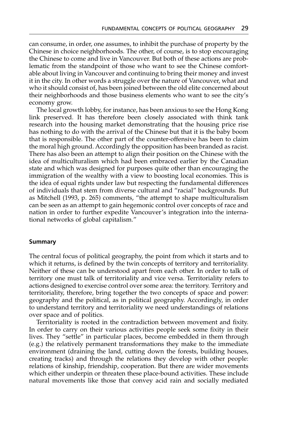can consume, in order, one assumes, to inhibit the purchase of property by the Chinese in choice neighborhoods. The other, of course, is to stop encouraging the Chinese to come and live in Vancouver. But both of these actions are problematic from the standpoint of those who want to see the Chinese comfortable about living in Vancouver and continuing to bring their money and invest it in the city. In other words a struggle over the nature of Vancouver, what and who it should consist of, has been joined between the old elite concerned about their neighborhoods and those business elements who want to see the city's economy grow.

The local growth lobby, for instance, has been anxious to see the Hong Kong link preserved. It has therefore been closely associated with think tank research into the housing market demonstrating that the housing price rise has nothing to do with the arrival of the Chinese but that it is the baby boom that is responsible. The other part of the counter-offensive has been to claim the moral high ground. Accordingly the opposition has been branded as racist. There has also been an attempt to align their position on the Chinese with the idea of multiculturalism which had been embraced earlier by the Canadian state and which was designed for purposes quite other than encouraging the immigration of the wealthy with a view to boosting local economies. This is the idea of equal rights under law but respecting the fundamental differences of individuals that stem from diverse cultural and "racial" backgrounds. But as Mitchell (1993, p. 265) comments, "the attempt to shape multiculturalism can be seen as an attempt to gain hegemonic control over concepts of race and nation in order to further expedite Vancouver's integration into the international networks of global capitalism."

#### **Summary**

The central focus of political geography, the point from which it starts and to which it returns, is defined by the twin concepts of territory and territoriality. Neither of these can be understood apart from each other. In order to talk of territory one must talk of territoriality and vice versa. Territoriality refers to actions designed to exercise control over some area: the territory. Territory and territoriality, therefore, bring together the two concepts of space and power: geography and the political, as in political geography. Accordingly, in order to understand territory and territoriality we need understandings of relations over space and of politics.

Territoriality is rooted in the contradiction between movement and fixity. In order to carry on their various activities people seek some fixity in their lives. They "settle" in particular places, become embedded in them through (e.g.) the relatively permanent transformations they make to the immediate environment (draining the land, cutting down the forests, building houses, creating tracks) and through the relations they develop with other people: relations of kinship, friendship, cooperation. But there are wider movements which either underpin or threaten these place-bound activities. These include natural movements like those that convey acid rain and socially mediated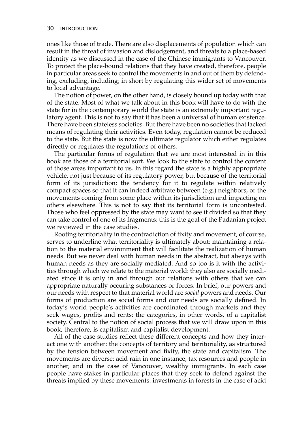ones like those of trade. There are also displacements of population which can result in the threat of invasion and dislodgement, and threats to a place-based identity as we discussed in the case of the Chinese immigrants to Vancouver. To protect the place-bound relations that they have created, therefore, people in particular areas seek to control the movements in and out of them by defending, excluding, including; in short by regulating this wider set of movements to local advantage.

The notion of power, on the other hand, is closely bound up today with that of the state. Most of what we talk about in this book will have to do with the state for in the contemporary world the state is an extremely important regulatory agent. This is not to say that it has been a universal of human existence. There have been stateless societies. But there have been no societies that lacked means of regulating their activities. Even today, regulation cannot be reduced to the state. But the state is now the ultimate regulator which either regulates directly or regulates the regulations of others.

The particular forms of regulation that we are most interested in in this book are those of a territorial sort. We look to the state to control the content of those areas important to us. In this regard the state is a highly appropriate vehicle, not just because of its regulatory power, but because of the territorial form of its jurisdiction: the tendency for it to regulate within relatively compact spaces so that it can indeed arbitrate between (e.g.) neighbors, or the movements coming from some place within its jurisdiction and impacting on others elsewhere. This is not to say that its territorial form is uncontested. Those who feel oppressed by the state may want to see it divided so that they can take control of one of its fragments: this is the goal of the Padanian project we reviewed in the case studies.

Rooting territoriality in the contradiction of fixity and movement, of course, serves to underline what territoriality is ultimately about: maintaining a relation to the material environment that will facilitate the realization of human needs. But we never deal with human needs in the abstract, but always with human needs as they are socially mediated. And so too is it with the activities through which we relate to the material world: they also are socially mediated since it is only in and through our relations with others that we can appropriate naturally occuring substances or forces. In brief, our powers and our needs with respect to that material world are *social* powers and needs. Our forms of production are social forms and our needs are socially defined. In today's world people's activities are coordinated through markets and they seek wages, profits and rents: the categories, in other words, of a capitalist society. Central to the notion of social process that we will draw upon in this book, therefore, is capitalism and capitalist development.

All of the case studies reflect these different concepts and how they interact one with another: the concepts of territory and territoriality, as structured by the tension between movement and fixity, the state and capitalism. The movements are diverse: acid rain in one instance, tax resources and people in another, and in the case of Vancouver, wealthy immigrants. In each case people have stakes in particular places that they seek to defend against the threats implied by these movements: investments in forests in the case of acid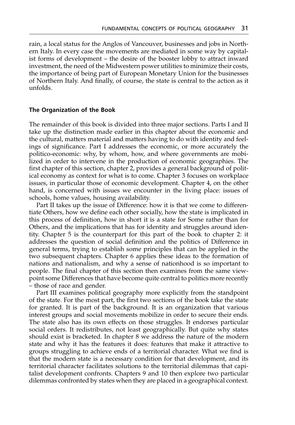rain, a local status for the Anglos of Vancouver, businesses and jobs in Northern Italy. In every case the movements are mediated in some way by capitalist forms of development – the desire of the booster lobby to attract inward investment, the need of the Midwestern power utilities to minimize their costs, the importance of being part of European Monetary Union for the businesses of Northern Italy. And finally, of course, the state is central to the action as it unfolds.

#### **The Organization of the Book**

The remainder of this book is divided into three major sections. Parts I and II take up the distinction made earlier in this chapter about the economic and the cultural, matters material and matters having to do with identity and feelings of significance. Part I addresses the economic, or more accurately the politico-economic: why, by whom, how, and where governments are mobilized in order to intervene in the production of economic geographies. The first chapter of this section, chapter 2, provides a general background of political economy as context for what is to come. Chapter 3 focuses on workplace issues, in particular those of economic development. Chapter 4, on the other hand, is concerned with issues we encounter in the living place: issues of schools, home values, housing availability.

Part II takes up the issue of Difference: how it is that we come to differentiate Others, how we define each other socially, how the state is implicated in this process of definition, how in short it is a state for Some rather than for Others, and the implications that has for identity and struggles around identity. Chapter 5 is the counterpart for this part of the book to chapter 2: it addresses the question of social definition and the politics of Difference in general terms, trying to establish some principles that can be applied in the two subsequent chapters. Chapter 6 applies these ideas to the formation of nations and nationalism, and why a sense of nationhood is so important to people. The final chapter of this section then examines from the same viewpoint some Differences that have become quite central to politics more recently – those of race and gender.

Part III examines political geography more explicitly from the standpoint of the state. For the most part, the first two sections of the book take the state for granted. It is part of the background. It is an organization that various interest groups and social movements mobilize in order to secure their ends. The state also has its own effects on those struggles. It endorses particular social orders. It redistributes, not least geographically. But quite why states should exist is bracketed. In chapter 8 we address the nature of the modern state and why it has the features it does: features that make it attractive to groups struggling to achieve ends of a territorial character. What we find is that the modern state is a necessary condition for that development, and its territorial character facilitates solutions to the territorial dilemmas that capitalist development confronts. Chapters 9 and 10 then explore two particular dilemmas confronted by states when they are placed in a geographical context.